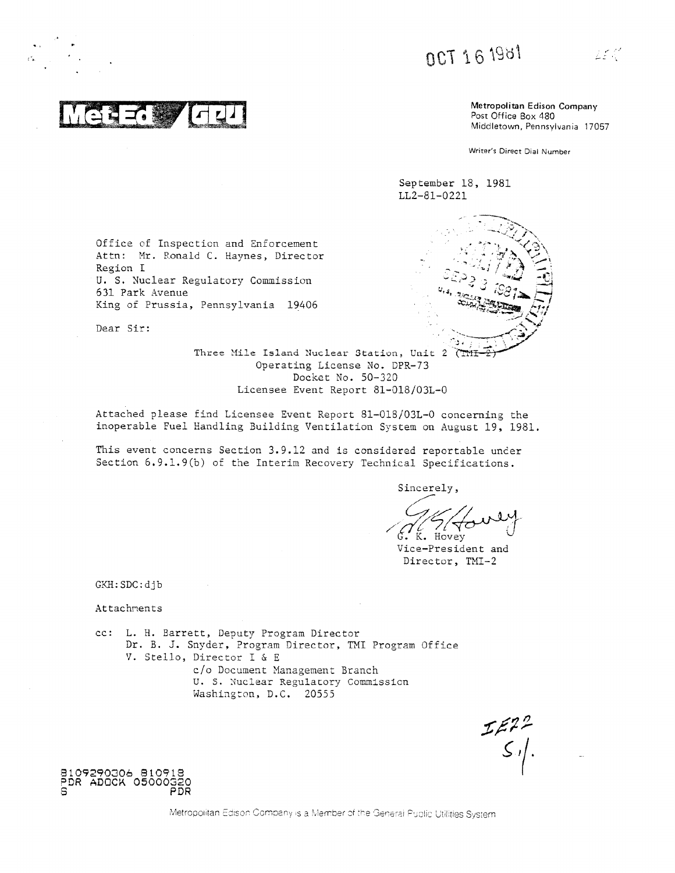0CT 16 1981

Metropolitan Edison Company Post Office Box 480 Middletown, Pennsylvania 17057

أباسمك

Writer's Direct Dial Number

September 18, 1981 LL2-81-0221

Office of Inspection and Enforcement Attn: Mr. Ronald C. Haynes, Director Region I U. S. Nuclear Regulatory Commission 631 Park Avenue King of Prussia, Pennsylvania 19406

Dear Sir:

Three Mile Island Nuclear Station, Unit 2 (THE Operating License No. DPR-73 Docket No. 50-320 Licensee Event Report 81-018/03L-0

Attached please find Licensee Event Report 81-018/03L-0 concerning the inoperable Fuel Handling Building Ventilation System on August 19, 1981.

This event concerns Section 3.9.12 and is considered reportable under Section 6.9.1.9(b) of the Interim Recovery Technical Specifications.

Sincerely,

K. Hovey

Vice-President and Director, TMI-2

GKH: SDC: djb

Attachments

cc: L. H. Barrett, Deputy Program Director Dr. B. J. Snyder, Program Director, TMI Program Office V. Stello, Director I & E c/o Document Management Branch U. S. Nuclear Regulatory Commission Washington, D.C. 20555

 $\begin{array}{c}\n\mathcal{L}\mathcal{E}^2 \mathcal{L}^2 \\
\mathcal{S} \mathcal{L}\n\end{array}$ 

8109290306 810918<br>PDR ADOCK 05000320<br>PDR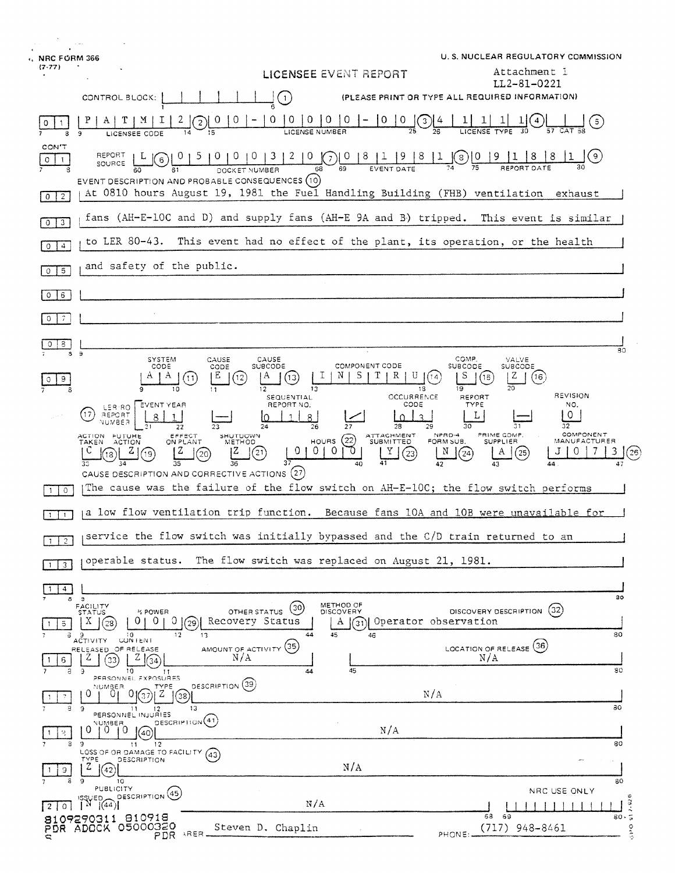| <b>NRC FORM 366</b>                                                                                                   |                                                                                                                                             |                                                                                                                          | U.S. NUCLEAR REGULATORY COMMISSION                                                                                                     |  |
|-----------------------------------------------------------------------------------------------------------------------|---------------------------------------------------------------------------------------------------------------------------------------------|--------------------------------------------------------------------------------------------------------------------------|----------------------------------------------------------------------------------------------------------------------------------------|--|
| $(7 - 77)$                                                                                                            |                                                                                                                                             | LICENSEE EVENT REPORT                                                                                                    | Attachment 1<br>LL2-81-0221                                                                                                            |  |
| CONTROL BLOCK:                                                                                                        | (1)                                                                                                                                         |                                                                                                                          | (PLEASE PRINT OR TYPE ALL REQUIRED INFORMATION)                                                                                        |  |
| ¥<br>9<br>LICENSEE CODE                                                                                               | $\overline{0}$<br>0<br>$\theta$<br>$\Omega$<br>2<br>LICENSE NUMBER                                                                          | $\Omega$<br>$\cup$<br>0<br>$\cup$<br>3                                                                                   | $\left(5\right)$                                                                                                                       |  |
| CON'T<br>REPORT<br>0<br>6<br>$\mathbf{1}$<br>SOURCE                                                                   | 0   0   0   3<br>DOCKET NUMBER                                                                                                              | $\frac{2}{68}$ $\frac{0}{69}$ $\frac{0}{69}$ $\frac{8}{5}$ $\frac{1}{2}$<br> 9 8<br>$\overline{68}$<br><b>EVENT DATE</b> | 0 (s)<br>(9)<br>REPORT DATE                                                                                                            |  |
| $0$   2                                                                                                               | EVENT DESCRIPTION AND PROBABLE CONSEQUENCES (10)<br>At 0810 hours August 19, 1981 the Fuel Handling Building (FHB) ventilation exhaust      |                                                                                                                          |                                                                                                                                        |  |
| $\sqrt{3}$<br>$\mathbf{0}$                                                                                            | fans (AH-E-10C and D) and supply fans (AH-E 9A and B) tripped. This event is similar                                                        |                                                                                                                          |                                                                                                                                        |  |
| to LER 80-43. This event had no effect of the plant, its operation, or the health<br>$\overline{4}$<br>$\overline{0}$ |                                                                                                                                             |                                                                                                                          |                                                                                                                                        |  |
| and safety of the public.<br>$5\phantom{.0}$<br>0 <sup>1</sup>                                                        |                                                                                                                                             |                                                                                                                          |                                                                                                                                        |  |
| $6^{\circ}$<br>$\circ$                                                                                                |                                                                                                                                             |                                                                                                                          |                                                                                                                                        |  |
| 7.<br>$\Omega$                                                                                                        |                                                                                                                                             |                                                                                                                          |                                                                                                                                        |  |
| 3<br>3 <sub>3</sub>                                                                                                   |                                                                                                                                             |                                                                                                                          | 30                                                                                                                                     |  |
| SYSTEM<br>CODE<br>9                                                                                                   | CAUSE<br>CAUSE<br>CODE<br><b>SUBCODE</b><br>Е<br>Α<br>(12)<br>(13)<br>11<br>$12 \,$<br>13                                                   | <b>COMPONENT CODE</b><br>R.<br>13                                                                                        | COMP.<br>VALVE<br><b>SUBCODE</b><br><b>SUBCODE</b><br>S<br>Z<br>(16<br>14<br>(15<br>19                                                 |  |
| EVENT YEAR<br>LER RO<br>17<br>REPORT<br>NUMBER                                                                        | SEQUENTIAL<br>REPORT NO.<br>22                                                                                                              | OCCURRENCE<br>CODE<br>$\mathcal{L}$<br>$\Omega$<br>28<br>29                                                              | REVISION<br>REPORT<br><b>TYPE</b><br>NO.<br>0<br>L<br>32<br>30                                                                         |  |
| ACTION FUTURE<br>TAKEN ACTION<br>19<br>18                                                                             | EFFECT<br>SHUTUOWN<br>METHOD<br>ON PLANT<br>0<br>ΙZ<br>0 <sub>1</sub><br>$^{(21)}$<br>(20)<br>CAUSE DESCRIPTION AND CORRECTIVE ACTIONS (27) | ATTACHMENT<br>SUBMITTED<br>HOURS $(22)$<br>$\overline{0}$<br>0<br>Y<br>(23)<br>40                                        | COMPONENT<br>PRIME COMP.<br>NPRD-4<br>FORM SUB.<br><b>SUPPLIER</b><br>MANUFACTURER<br>3<br>N<br>(24)<br>A<br>(25)<br>[26]<br>42<br>44. |  |
| The cause was the failure of the flow switch on AH-E-10C; the flow switch performs<br>$\circ$                         |                                                                                                                                             |                                                                                                                          |                                                                                                                                        |  |
| $\mathbf{1}$                                                                                                          |                                                                                                                                             |                                                                                                                          | a low flow ventilation trip function. Because fans 10A and 10B were unavailable for                                                    |  |
| service the flow switch was initially bypassed and the C/D train returned to an<br>$\mathfrak{L}$<br>T.               |                                                                                                                                             |                                                                                                                          |                                                                                                                                        |  |
| The flow switch was replaced on August 21, 1981.<br>operable status.<br>$\mathbf{3}$                                  |                                                                                                                                             |                                                                                                                          |                                                                                                                                        |  |
| 4<br>8 <sub>3</sub>                                                                                                   |                                                                                                                                             |                                                                                                                          | 30                                                                                                                                     |  |
| FACILITY<br>STATUS<br>% POWER<br>$\overline{O}$<br>X<br>0.<br>$\left(28\right)$<br>$5 -$<br>а                         | (30)<br>OTHER STATUS<br>Recovery Status<br>0 <sub>1</sub><br>(29)<br>12 <sub>1</sub><br>44<br>13                                            | METHOD OF<br><b>DISCOVERY</b><br>(31) Operator observation<br>A<br>45<br>46                                              | (32)<br>DISCOVERY DESCRIPTION<br>80                                                                                                    |  |
| <b>ACTIVITY</b><br><b>CONTENT</b><br>RELEASED OF RELEASE<br>Z<br>Ζļ<br>(33)<br>6.<br>10<br>$8 - 9$                    | AMOUNT OF ACTIVITY (35)<br>N/A<br>44                                                                                                        | 45                                                                                                                       | LOCATION OF RELEASE (36)<br>N/A<br>80                                                                                                  |  |
| PERSONNEL EXPOSURES<br>NUMBER<br>Ω<br>∠                                                                               | 11<br>DESCRIPTION <sup>(39)</sup><br>TYPE<br>(38)                                                                                           |                                                                                                                          | N/A                                                                                                                                    |  |
| э.<br>- 9<br>$11 -$<br>12<br>PERSONNEL INJURIES<br>NUMBER<br>ΪO<br>0.<br>$\Omega$<br>(40)<br>2                        | 13<br>DESCRIPTION(41)                                                                                                                       | N/A                                                                                                                      | 30                                                                                                                                     |  |
| 39<br>12<br>11<br>LOSS OF OR DAMAGE TO FACILITY (43)<br>TYPE<br>DESCRIPTION<br>Z<br>(42)<br>9.                        |                                                                                                                                             | N/A                                                                                                                      | 80<br>$\cdot$                                                                                                                          |  |
| а<br>10<br>$\circ$<br>PUBLICITY                                                                                       |                                                                                                                                             |                                                                                                                          | 80<br>NRC USE ONLY                                                                                                                     |  |
| DESCRIPTION <sup>(45)</sup><br>SSUED_<br>$N \left[ (44) \right]$<br>20<br>8109290311 810918                           | N/A                                                                                                                                         |                                                                                                                          | ю<br>$\frac{1}{80}$<br>68<br>- 69                                                                                                      |  |
| PDR ADOCK 05000320                                                                                                    | Steven D. Chaplin<br>ARER.<br>PDR.                                                                                                          |                                                                                                                          | od?<br>$(717)$ 948-8461<br>PHONE:                                                                                                      |  |

 $\overline{\mathbf{A}}$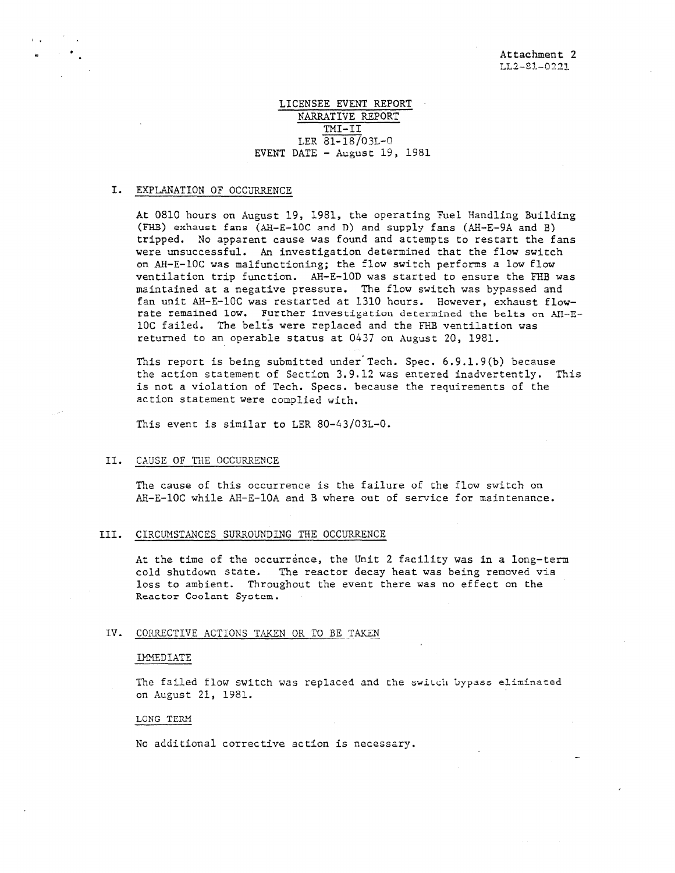\_

# LICENSEE EVENT REPORT NARRATIVE REPORT TMI-II LER 81-18/03L-0 EVENT DATE - August 19, 1981

#### I. EXPLANATION OF OCCURRENCE

At 0810 hours on August 19, 1981, the operating Fuel Handling Building (FHB) exhaust fans (AH-E-10C and D) and supply fans (AH-E-9A and B) tripped. No apparent cause was found and attempts to restart the fans were unsuccessful. An investigation determined that the flow switch on AB-E-10C was malfunctioning; the flow switch performs a low flow ventilation trip function. AB-E-10D was started to ensure the FHB was maintained at a negative pressure. The flow switch was bypassed and fan unit AH-E-10C was restarted at 1310 hours. However, exhaust flowrate remained low. Further investigation determined the belts on AH-E-10C failed. The belts were replaced and the FHB ventilation was returned to an operable status at 0437 on August 20, 1981.

This report is being submitted under Tech. Spec. 6 .9.1.9(b) because the action statement of Section 3.9.12 was entered inadvertently. This is not a violation of Tech. Specs. because the requirements of the action statement were complied with.

This event is similar to LER 80-43/03L-0.

# II. CAUSE OF THE OCCURRENCE

The cause of this occurrence is the failure of the flow switch on Ali-E-10C while AH-E-10A and B where out of service for maintenance.

# III. CIRCUMSTANCES SURROUNDING THE OCCURRENCE

At the time of the occurrence, the Unit 2 facility was in a long-term cold shutdown state. The reactor decay heat was being removed via loss to ambient. Throughout the event there was no effect on the Reactor Coolant Syotem.

### IV. CORRECTIVE ACTIONS TAKEN OR TO BE TAKEN

#### 'MEDIATE

The failed flow switch was replaced and the switch bypass eliminated on August 21, 1981.

#### LONG TERM

No additional corrective action is necessary.